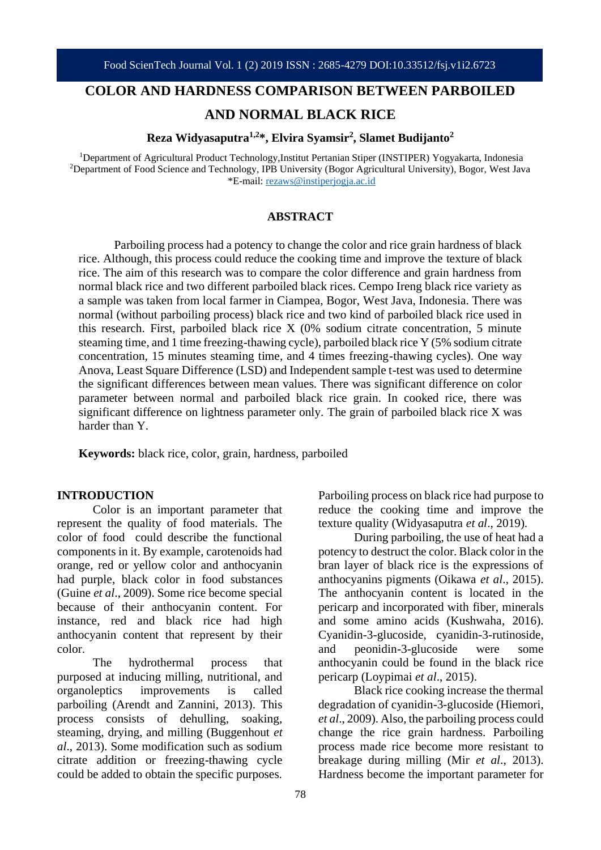## **COLOR AND HARDNESS COMPARISON BETWEEN PARBOILED**

# **AND NORMAL BLACK RICE**

**Reza Widyasaputra1,2\*, Elvira Syamsir<sup>2</sup> , Slamet Budijanto<sup>2</sup>**

<sup>1</sup>Department of Agricultural Product Technology, Institut Pertanian Stiper (INSTIPER) Yogyakarta, Indonesia <sup>2</sup>Department of Food Science and Technology, IPB University (Bogor Agricultural University), Bogor, West Java \*E-mail: [rezaws@instiperjogja.ac.id](mailto:rezaws@instiperjogja.ac.id)

#### **ABSTRACT**

Parboiling process had a potency to change the color and rice grain hardness of black rice. Although, this process could reduce the cooking time and improve the texture of black rice. The aim of this research was to compare the color difference and grain hardness from normal black rice and two different parboiled black rices. Cempo Ireng black rice variety as a sample was taken from local farmer in Ciampea, Bogor, West Java, Indonesia. There was normal (without parboiling process) black rice and two kind of parboiled black rice used in this research. First, parboiled black rice X (0% sodium citrate concentration, 5 minute steaming time, and 1 time freezing-thawing cycle), parboiled black rice Y (5% sodium citrate concentration, 15 minutes steaming time, and 4 times freezing-thawing cycles). One way Anova, Least Square Difference (LSD) and Independent sample t-test was used to determine the significant differences between mean values. There was significant difference on color parameter between normal and parboiled black rice grain. In cooked rice, there was significant difference on lightness parameter only. The grain of parboiled black rice X was harder than Y.

**Keywords:** black rice, color, grain, hardness, parboiled

## **INTRODUCTION**

Color is an important parameter that represent the quality of food materials. The color of food could describe the functional components in it. By example, carotenoids had orange, red or yellow color and anthocyanin had purple, black color in food substances (Guine *et al*., 2009). Some rice become special because of their anthocyanin content. For instance, red and black rice had high anthocyanin content that represent by their color.

The hydrothermal process that purposed at inducing milling, nutritional, and organoleptics improvements is called parboiling (Arendt and Zannini, 2013). This process consists of dehulling, soaking, steaming, drying, and milling (Buggenhout *et al*., 2013). Some modification such as sodium citrate addition or freezing-thawing cycle could be added to obtain the specific purposes.

Parboiling process on black rice had purpose to reduce the cooking time and improve the texture quality (Widyasaputra *et al*., 2019).

During parboiling, the use of heat had a potency to destruct the color. Black color in the bran layer of black rice is the expressions of anthocyanins pigments (Oikawa *et al*., 2015). The anthocyanin content is located in the pericarp and incorporated with fiber, minerals and some amino acids (Kushwaha, 2016). Cyanidin-3-glucoside, cyanidin-3-rutinoside, and peonidin-3-glucoside were some anthocyanin could be found in the black rice pericarp (Loypimai *et al*., 2015).

Black rice cooking increase the thermal degradation of cyanidin-3-glucoside (Hiemori, *et al*., 2009). Also, the parboiling process could change the rice grain hardness. Parboiling process made rice become more resistant to breakage during milling (Mir *et al*., 2013). Hardness become the important parameter for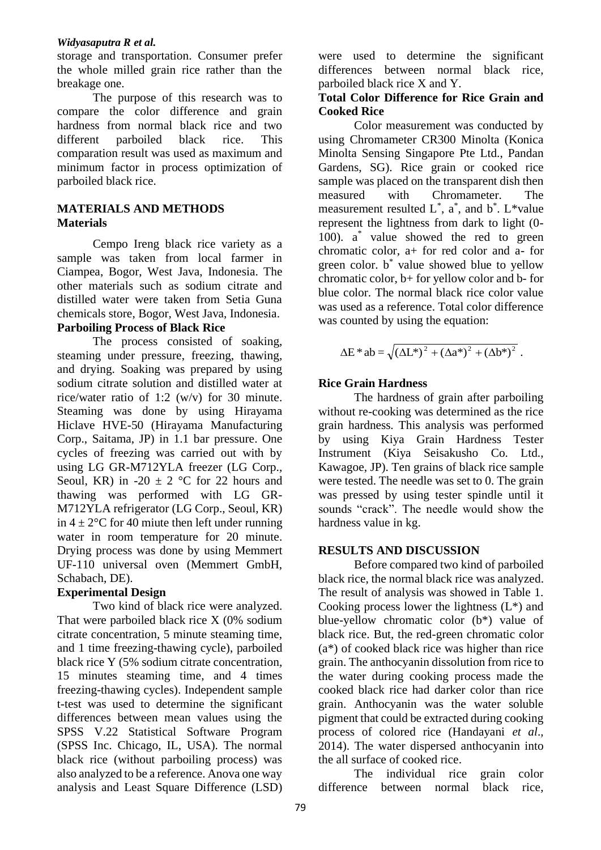## *Widyasaputra R et al.*

storage and transportation. Consumer prefer the whole milled grain rice rather than the breakage one.

The purpose of this research was to compare the color difference and grain hardness from normal black rice and two different parboiled black rice. This comparation result was used as maximum and minimum factor in process optimization of parboiled black rice.

# **MATERIALS AND METHODS Materials**

Cempo Ireng black rice variety as a sample was taken from local farmer in Ciampea, Bogor, West Java, Indonesia. The other materials such as sodium citrate and distilled water were taken from Setia Guna chemicals store, Bogor, West Java, Indonesia. **Parboiling Process of Black Rice**

# The process consisted of soaking, steaming under pressure, freezing, thawing, and drying. Soaking was prepared by using sodium citrate solution and distilled water at rice/water ratio of 1:2 (w/v) for 30 minute. Steaming was done by using Hirayama Hiclave HVE-50 (Hirayama Manufacturing Corp., Saitama, JP) in 1.1 bar pressure. One cycles of freezing was carried out with by using LG GR-M712YLA freezer (LG Corp., Seoul, KR) in -20  $\pm$  2 °C for 22 hours and thawing was performed with LG GR-M712YLA refrigerator (LG Corp., Seoul, KR) in  $4 \pm 2$ °C for 40 miute then left under running water in room temperature for 20 minute. Drying process was done by using Memmert UF-110 universal oven (Memmert GmbH, Schabach, DE).

# **Experimental Design**

Two kind of black rice were analyzed. That were parboiled black rice X (0% sodium citrate concentration, 5 minute steaming time, and 1 time freezing-thawing cycle), parboiled black rice Y (5% sodium citrate concentration, 15 minutes steaming time, and 4 times freezing-thawing cycles). Independent sample t-test was used to determine the significant differences between mean values using the SPSS V.22 Statistical Software Program (SPSS Inc. Chicago, IL, USA). The normal black rice (without parboiling process) was also analyzed to be a reference. Anova one way analysis and Least Square Difference (LSD)

were used to determine the significant differences between normal black rice, parboiled black rice X and Y.

## **Total Color Difference for Rice Grain and Cooked Rice**

Color measurement was conducted by using Chromameter CR300 Minolta (Konica Minolta Sensing Singapore Pte Ltd., Pandan Gardens, SG). Rice grain or cooked rice sample was placed on the transparent dish then measured with Chromameter. The measurement resulted  $L^*$ ,  $a^*$ , and  $b^*$ .  $L^*$ value represent the lightness from dark to light (0- 100). a\* value showed the red to green chromatic color, a+ for red color and a- for green color. b\* value showed blue to yellow chromatic color, b+ for yellow color and b- for blue color. The normal black rice color value was used as a reference. Total color difference was counted by using the equation:

$$
\Delta E^* ab = \sqrt{\left(\Delta L^*\right)^2 + \left(\Delta a^*\right)^2 + \left(\Delta b^*\right)^2}.
$$

# **Rice Grain Hardness**

The hardness of grain after parboiling without re-cooking was determined as the rice grain hardness. This analysis was performed by using Kiya Grain Hardness Tester Instrument (Kiya Seisakusho Co. Ltd., Kawagoe, JP). Ten grains of black rice sample were tested. The needle was set to 0. The grain was pressed by using tester spindle until it sounds "crack". The needle would show the hardness value in kg.

# **RESULTS AND DISCUSSION**

Before compared two kind of parboiled black rice, the normal black rice was analyzed. The result of analysis was showed in Table 1. Cooking process lower the lightness  $(L^*)$  and blue-yellow chromatic color (b\*) value of black rice. But, the red-green chromatic color (a\*) of cooked black rice was higher than rice grain. The anthocyanin dissolution from rice to the water during cooking process made the cooked black rice had darker color than rice grain. Anthocyanin was the water soluble pigment that could be extracted during cooking process of colored rice (Handayani *et al*., 2014). The water dispersed anthocyanin into the all surface of cooked rice.

The individual rice grain color difference between normal black rice,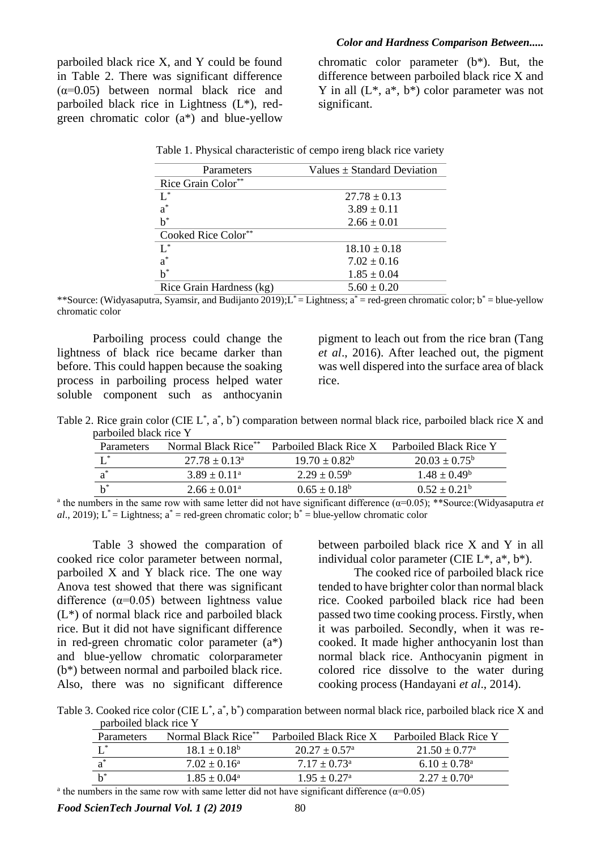#### *Color and Hardness Comparison Between.....*

parboiled black rice X, and Y could be found in Table 2. There was significant difference  $(\alpha=0.05)$  between normal black rice and parboiled black rice in Lightness (L\*), redgreen chromatic color (a\*) and blue-yellow chromatic color parameter (b\*). But, the difference between parboiled black rice X and Y in all  $(L^*, a^*, b^*)$  color parameter was not significant.

| Parameters               | Values $\pm$ Standard Deviation |  |
|--------------------------|---------------------------------|--|
| Rice Grain Color**       |                                 |  |
| $L^*$                    | $27.78 \pm 0.13$                |  |
| $a^*$                    | $3.89 \pm 0.11$                 |  |
| $b^*$                    | $2.66 \pm 0.01$                 |  |
| Cooked Rice Color**      |                                 |  |
| T *                      | $18.10 \pm 0.18$                |  |
| $a^*$                    | $7.02 \pm 0.16$                 |  |
| $\rm b^*$                | $1.85 \pm 0.04$                 |  |
| Rice Grain Hardness (kg) | $5.60 \pm 0.20$                 |  |

|  | Table 1. Physical characteristic of cempo ireng black rice variety |  |  |
|--|--------------------------------------------------------------------|--|--|
|--|--------------------------------------------------------------------|--|--|

\*\*Source: (Widyasaputra, Syamsir, and Budijanto 2019); L<sup>\*</sup> = Lightness; a<sup>\*</sup> = red-green chromatic color; b<sup>\*</sup> = blue-yellow chromatic color

Parboiling process could change the lightness of black rice became darker than before. This could happen because the soaking process in parboiling process helped water soluble component such as anthocyanin

pigment to leach out from the rice bran (Tang *et al*., 2016). After leached out, the pigment was well dispered into the surface area of black rice.

Table 2. Rice grain color (CIE  $L^*$ ,  $a^*$ ,  $b^*$ ) comparation between normal black rice, parboiled black rice X and parboiled black rice Y

| Parameters | Normal Black Rice**      | Parboiled Black Rice X | Parboiled Black Rice Y   |
|------------|--------------------------|------------------------|--------------------------|
|            | $27.78 \pm 0.13^{\circ}$ | $19.70 + 0.82^b$       | $20.03 \pm 0.75^{\circ}$ |
| $a^*$      | $3.89 \pm 0.11^{\circ}$  | $2.29 + 0.59^b$        | $1.48 + 0.49^b$          |
| $h^*$      | $2.66 \pm 0.01^{\circ}$  | $0.65 + 0.18^b$        | $0.52 + 0.21^b$          |

<sup>a</sup> the numbers in the same row with same letter did not have significant difference  $(\alpha=0.05)$ ; \*\*Source:(Widyasaputra *et al*., 2019);  $L^*$  = Lightness;  $a^*$  = red-green chromatic color;  $b^*$  = blue-yellow chromatic color

Table 3 showed the comparation of cooked rice color parameter between normal, parboiled X and Y black rice. The one way Anova test showed that there was significant difference  $(\alpha=0.05)$  between lightness value (L\*) of normal black rice and parboiled black rice. But it did not have significant difference in red-green chromatic color parameter (a\*) and blue-yellow chromatic colorparameter (b\*) between normal and parboiled black rice. Also, there was no significant difference between parboiled black rice X and Y in all individual color parameter (CIE  $L^*$ ,  $a^*$ ,  $b^*$ ).

The cooked rice of parboiled black rice tended to have brighter color than normal black rice. Cooked parboiled black rice had been passed two time cooking process. Firstly, when it was parboiled. Secondly, when it was recooked. It made higher anthocyanin lost than normal black rice. Anthocyanin pigment in colored rice dissolve to the water during cooking process (Handayani *et al*., 2014).

Table 3. Cooked rice color (CIE  $L^*$ ,  $a^*$ ,  $b^*$ ) comparation between normal black rice, parboiled black rice X and parboiled black rice Y

| Parameters | Normal Black Rice** | Parboiled Black Rice X     | Parboiled Black Rice Y      |
|------------|---------------------|----------------------------|-----------------------------|
|            | $18.1 + 0.18^b$     | $20.27 + 0.57^{\rm a}$     | $21.50 + 0.77$ <sup>a</sup> |
|            | $7.02 \pm 0.16^a$   | $7.17 + 0.73^{\circ}$      | $6.10 + 0.78$ <sup>a</sup>  |
|            | $1.85 + 0.04^a$     | $1.95 + 0.27$ <sup>a</sup> | $2.27 + 0.70^{\circ}$       |

<sup>a</sup> the numbers in the same row with same letter did not have significant difference ( $\alpha$ =0.05)

*Food ScienTech Journal Vol. 1 (2) 2019* 80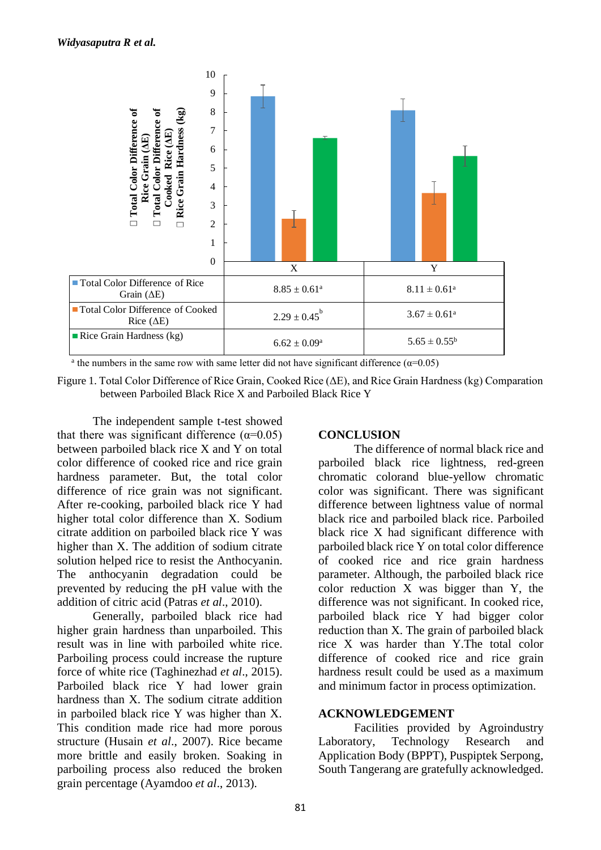

<sup>a</sup> the numbers in the same row with same letter did not have significant difference ( $\alpha$ =0.05)

Figure 1. Total Color Difference of Rice Grain, Cooked Rice (ΔE), and Rice Grain Hardness (kg) Comparation between Parboiled Black Rice X and Parboiled Black Rice Y

The independent sample t-test showed that there was significant difference  $(\alpha=0.05)$ between parboiled black rice X and Y on total color difference of cooked rice and rice grain hardness parameter. But, the total color difference of rice grain was not significant. After re-cooking, parboiled black rice Y had higher total color difference than X. Sodium citrate addition on parboiled black rice Y was higher than X. The addition of sodium citrate solution helped rice to resist the Anthocyanin. The anthocyanin degradation could be prevented by reducing the pH value with the addition of citric acid (Patras *et al*., 2010).

Generally, parboiled black rice had higher grain hardness than unparboiled. This result was in line with parboiled white rice. Parboiling process could increase the rupture force of white rice (Taghinezhad *et al*., 2015). Parboiled black rice Y had lower grain hardness than X. The sodium citrate addition in parboiled black rice Y was higher than X. This condition made rice had more porous structure (Husain *et al*., 2007). Rice became more brittle and easily broken. Soaking in parboiling process also reduced the broken grain percentage (Ayamdoo *et al*., 2013).

# **CONCLUSION**

The difference of normal black rice and parboiled black rice lightness, red-green chromatic colorand blue-yellow chromatic color was significant. There was significant difference between lightness value of normal black rice and parboiled black rice. Parboiled black rice X had significant difference with parboiled black rice Y on total color difference of cooked rice and rice grain hardness parameter. Although, the parboiled black rice color reduction X was bigger than Y, the difference was not significant. In cooked rice, parboiled black rice Y had bigger color reduction than X. The grain of parboiled black rice X was harder than Y.The total color difference of cooked rice and rice grain hardness result could be used as a maximum and minimum factor in process optimization.

## **ACKNOWLEDGEMENT**

Facilities provided by Agroindustry Laboratory, Technology Research and Application Body (BPPT), Puspiptek Serpong, South Tangerang are gratefully acknowledged.